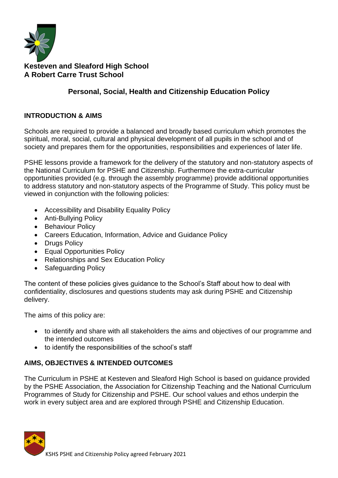

# **Kesteven and Sleaford High School A Robert Carre Trust School**

# **Personal, Social, Health and Citizenship Education Policy**

### **INTRODUCTION & AIMS**

Schools are required to provide a balanced and broadly based curriculum which promotes the spiritual, moral, social, cultural and physical development of all pupils in the school and of society and prepares them for the opportunities, responsibilities and experiences of later life.

PSHE lessons provide a framework for the delivery of the statutory and non-statutory aspects of the National Curriculum for PSHE and Citizenship. Furthermore the extra-curricular opportunities provided (e.g. through the assembly programme) provide additional opportunities to address statutory and non-statutory aspects of the Programme of Study. This policy must be viewed in conjunction with the following policies:

- Accessibility and Disability Equality Policy
- Anti-Bullying Policy
- Behaviour Policy
- Careers Education, Information, Advice and Guidance Policy
- Drugs Policy
- Equal Opportunities Policy
- Relationships and Sex Education Policy
- Safeguarding Policy

The content of these policies gives guidance to the School's Staff about how to deal with confidentiality, disclosures and questions students may ask during PSHE and Citizenship delivery.

The aims of this policy are:

- to identify and share with all stakeholders the aims and objectives of our programme and the intended outcomes
- to identify the responsibilities of the school's staff

# **AIMS, OBJECTIVES & INTENDED OUTCOMES**

The Curriculum in PSHE at Kesteven and Sleaford High School is based on guidance provided by the PSHE Association, the Association for Citizenship Teaching and the National Curriculum Programmes of Study for Citizenship and PSHE. Our school values and ethos underpin the work in every subject area and are explored through PSHE and Citizenship Education.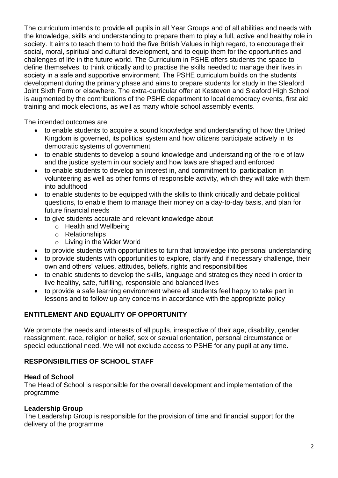The curriculum intends to provide all pupils in all Year Groups and of all abilities and needs with the knowledge, skills and understanding to prepare them to play a full, active and healthy role in society. It aims to teach them to hold the five British Values in high regard, to encourage their social, moral, spiritual and cultural development, and to equip them for the opportunities and challenges of life in the future world. The Curriculum in PSHE offers students the space to define themselves, to think critically and to practise the skills needed to manage their lives in society in a safe and supportive environment. The PSHE curriculum builds on the students' development during the primary phase and aims to prepare students for study in the Sleaford Joint Sixth Form or elsewhere. The extra-curricular offer at Kesteven and Sleaford High School is augmented by the contributions of the PSHE department to local democracy events, first aid training and mock elections, as well as many whole school assembly events.

The intended outcomes are:

- to enable students to acquire a sound knowledge and understanding of how the United Kingdom is governed, its political system and how citizens participate actively in its democratic systems of government
- to enable students to develop a sound knowledge and understanding of the role of law and the justice system in our society and how laws are shaped and enforced
- to enable students to develop an interest in, and commitment to, participation in volunteering as well as other forms of responsible activity, which they will take with them into adulthood
- to enable students to be equipped with the skills to think critically and debate political questions, to enable them to manage their money on a day-to-day basis, and plan for future financial needs
- to give students accurate and relevant knowledge about
	- o Health and Wellbeing
	- o Relationships
	- o Living in the Wider World
- to provide students with opportunities to turn that knowledge into personal understanding
- to provide students with opportunities to explore, clarify and if necessary challenge, their own and others' values, attitudes, beliefs, rights and responsibilities
- to enable students to develop the skills, language and strategies they need in order to live healthy, safe, fulfilling, responsible and balanced lives
- to provide a safe learning environment where all students feel happy to take part in lessons and to follow up any concerns in accordance with the appropriate policy

### **ENTITLEMENT AND EQUALITY OF OPPORTUNITY**

We promote the needs and interests of all pupils, irrespective of their age, disability, gender reassignment, race, religion or belief, sex or sexual orientation, personal circumstance or special educational need. We will not exclude access to PSHE for any pupil at any time.

### **RESPONSIBILITIES OF SCHOOL STAFF**

#### **Head of School**

The Head of School is responsible for the overall development and implementation of the programme

### **Leadership Group**

The Leadership Group is responsible for the provision of time and financial support for the delivery of the programme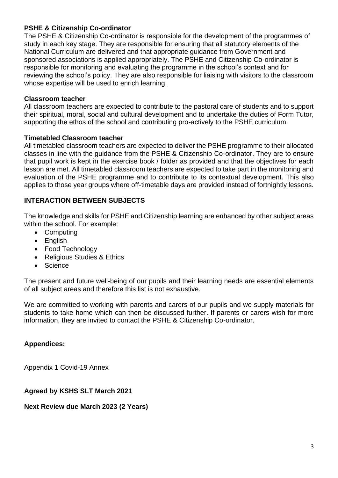### **PSHE & Citizenship Co-ordinator**

The PSHE & Citizenship Co-ordinator is responsible for the development of the programmes of study in each key stage. They are responsible for ensuring that all statutory elements of the National Curriculum are delivered and that appropriate guidance from Government and sponsored associations is applied appropriately. The PSHE and Citizenship Co-ordinator is responsible for monitoring and evaluating the programme in the school's context and for reviewing the school's policy. They are also responsible for liaising with visitors to the classroom whose expertise will be used to enrich learning.

#### **Classroom teacher**

All classroom teachers are expected to contribute to the pastoral care of students and to support their spiritual, moral, social and cultural development and to undertake the duties of Form Tutor, supporting the ethos of the school and contributing pro-actively to the PSHE curriculum.

#### **Timetabled Classroom teacher**

All timetabled classroom teachers are expected to deliver the PSHE programme to their allocated classes in line with the guidance from the PSHE & Citizenship Co-ordinator. They are to ensure that pupil work is kept in the exercise book / folder as provided and that the objectives for each lesson are met. All timetabled classroom teachers are expected to take part in the monitoring and evaluation of the PSHE programme and to contribute to its contextual development. This also applies to those year groups where off-timetable days are provided instead of fortnightly lessons.

### **INTERACTION BETWEEN SUBJECTS**

The knowledge and skills for PSHE and Citizenship learning are enhanced by other subject areas within the school. For example:

- Computing
- English
- Food Technology
- Religious Studies & Ethics
- Science

The present and future well-being of our pupils and their learning needs are essential elements of all subject areas and therefore this list is not exhaustive.

We are committed to working with parents and carers of our pupils and we supply materials for students to take home which can then be discussed further. If parents or carers wish for more information, they are invited to contact the PSHE & Citizenship Co-ordinator.

### **Appendices:**

Appendix 1 Covid-19 Annex

### **Agreed by KSHS SLT March 2021**

**Next Review due March 2023 (2 Years)**